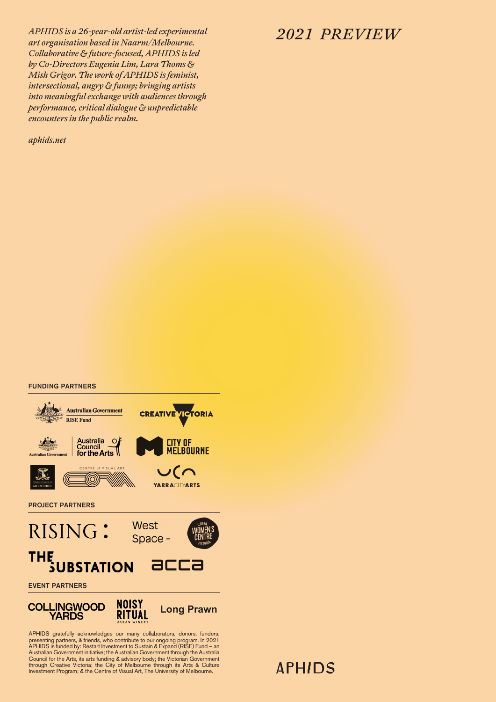*APHIDS is a 26-year-old artist-led experimental art organisation based in Naarm/Melbourne. 2021 PREVIEW Collaborative & future-focused, APHIDS is led by Co-Directors Eugenia Lim, Lara Thoms & Mish Grigor. The work of APHIDS is feminist, intersectional, angry & funny; bringing artists into meaningful exchange with audiences through performance, critical dialogue & unpredictable encounters in the public realm.*

*aphids.net*

#### FUNDING PARTNERS



APHIDS gratefully acknowledges our many collaborators, donors, funders,<br>presenting partners, & friends, who contribute to our ongoing program. In 2021<br>APHIDS is funded by: Restart Investment to Sustain & Expand (RISE) Fund Council for the Arts, its arts funding & advisory body; the Victorian Government<br>through Creative Victoria; the City of Melbourne through its Arts & Culture<br>Investment Program; & the Centre of Visual Art, The University of

# **APHIDS**